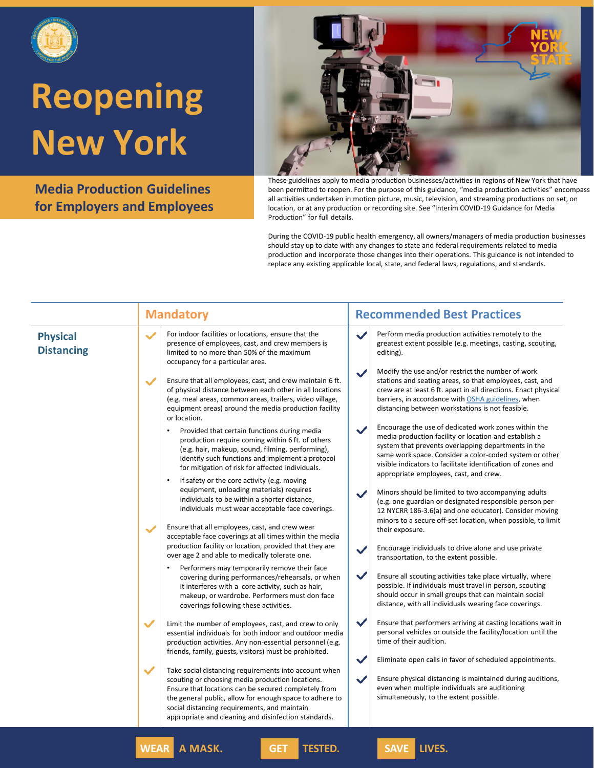

**Media Production Guidelines for Employers and Employees**



These guidelines apply to media production businesses/activities in regions of New York that have been permitted to reopen. For the purpose of this guidance, "media production activities" encompass all activities undertaken in motion picture, music, television, and streaming productions on set, on location, or at any production or recording site. See "Interim COVID-19 Guidance for Media Production" for full details.

|                                      | <b>Mandatory</b>                                                                                                                                                                                                                                                                                                                                     | <b>Recommended Best Practices</b>                                                                                                                                                                                                                                                                                                                         |
|--------------------------------------|------------------------------------------------------------------------------------------------------------------------------------------------------------------------------------------------------------------------------------------------------------------------------------------------------------------------------------------------------|-----------------------------------------------------------------------------------------------------------------------------------------------------------------------------------------------------------------------------------------------------------------------------------------------------------------------------------------------------------|
| <b>Physical</b><br><b>Distancing</b> | For indoor facilities or locations, ensure that the<br>$\checkmark$<br>presence of employees, cast, and crew members is<br>limited to no more than 50% of the maximum<br>occupancy for a particular area.                                                                                                                                            | Perform media production activities remotely to the<br>$\checkmark$<br>greatest extent possible (e.g. meetings, casting, scouting,<br>editing).                                                                                                                                                                                                           |
|                                      | $\checkmark$<br>Ensure that all employees, cast, and crew maintain 6 ft.<br>of physical distance between each other in all locations<br>(e.g. meal areas, common areas, trailers, video village,<br>equipment areas) around the media production facility<br>or location.                                                                            | Modify the use and/or restrict the number of work<br>$\checkmark$<br>stations and seating areas, so that employees, cast, and<br>crew are at least 6 ft. apart in all directions. Enact physical<br>barriers, in accordance with OSHA guidelines, when<br>distancing between workstations is not feasible.                                                |
|                                      | Provided that certain functions during media<br>production require coming within 6 ft. of others<br>(e.g. hair, makeup, sound, filming, performing),<br>identify such functions and implement a protocol<br>for mitigation of risk for affected individuals.                                                                                         | Encourage the use of dedicated work zones within the<br>$\checkmark$<br>media production facility or location and establish a<br>system that prevents overlapping departments in the<br>same work space. Consider a color-coded system or other<br>visible indicators to facilitate identification of zones and<br>appropriate employees, cast, and crew. |
|                                      | If safety or the core activity (e.g. moving<br>$\bullet$<br>equipment, unloading materials) requires<br>individuals to be within a shorter distance,<br>individuals must wear acceptable face coverings.                                                                                                                                             | Minors should be limited to two accompanying adults<br>$\checkmark$<br>(e.g. one guardian or designated responsible person per<br>12 NYCRR 186-3.6(a) and one educator). Consider moving<br>minors to a secure off-set location, when possible, to limit                                                                                                  |
|                                      | Ensure that all employees, cast, and crew wear<br>$\checkmark$<br>acceptable face coverings at all times within the media<br>production facility or location, provided that they are<br>over age 2 and able to medically tolerate one.                                                                                                               | their exposure.<br>Encourage individuals to drive alone and use private<br>$\checkmark$<br>transportation, to the extent possible.                                                                                                                                                                                                                        |
|                                      | Performers may temporarily remove their face<br>covering during performances/rehearsals, or when<br>it interferes with a core activity, such as hair,<br>makeup, or wardrobe. Performers must don face<br>coverings following these activities.                                                                                                      | $\checkmark$<br>Ensure all scouting activities take place virtually, where<br>possible. If individuals must travel in person, scouting<br>should occur in small groups that can maintain social<br>distance, with all individuals wearing face coverings.                                                                                                 |
|                                      | $\checkmark$<br>Limit the number of employees, cast, and crew to only<br>essential individuals for both indoor and outdoor media<br>production activities. Any non-essential personnel (e.g.<br>friends, family, guests, visitors) must be prohibited.                                                                                               | $\checkmark$<br>Ensure that performers arriving at casting locations wait in<br>personal vehicles or outside the facility/location until the<br>time of their audition.                                                                                                                                                                                   |
|                                      | $\checkmark$<br>Take social distancing requirements into account when<br>scouting or choosing media production locations.<br>Ensure that locations can be secured completely from<br>the general public, allow for enough space to adhere to<br>social distancing requirements, and maintain<br>appropriate and cleaning and disinfection standards. | $\checkmark$<br>Eliminate open calls in favor of scheduled appointments.<br>$\checkmark$<br>Ensure physical distancing is maintained during auditions,<br>even when multiple individuals are auditioning<br>simultaneously, to the extent possible.                                                                                                       |
|                                      | <b>WEAR A MASK.</b><br><b>TESTED.</b><br><b>GET</b>                                                                                                                                                                                                                                                                                                  | SAVE LIVES.                                                                                                                                                                                                                                                                                                                                               |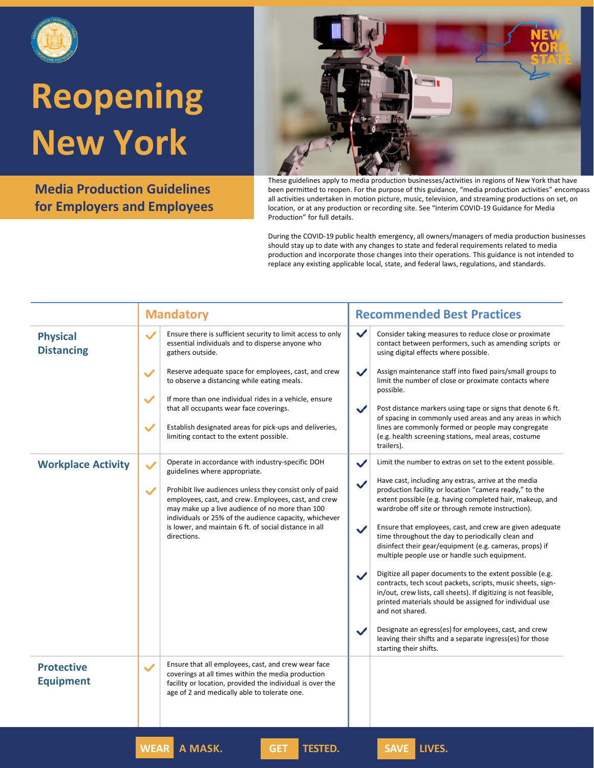

**Media Production Guidelines for Employers and Employees**



These guidelines apply to media production businesses/activities in regions of New York that have been permitted to reopen. For the purpose of this guidance, "media production activities" encompass all activities undertaken in motion picture, music, television, and streaming productions on set, on location, or at any production or recording site. See "Interim COVID-19 Guidance for Media Production" for full details.

|                                       | <b>Mandatory</b>                                                                                                                                                                                                                                                                                                       | <b>Recommended Best Practices</b>                                                                                                                                                                                                                                                                                                                                                                                                                                                                                                                                                                                                                                                                                                                                       |
|---------------------------------------|------------------------------------------------------------------------------------------------------------------------------------------------------------------------------------------------------------------------------------------------------------------------------------------------------------------------|-------------------------------------------------------------------------------------------------------------------------------------------------------------------------------------------------------------------------------------------------------------------------------------------------------------------------------------------------------------------------------------------------------------------------------------------------------------------------------------------------------------------------------------------------------------------------------------------------------------------------------------------------------------------------------------------------------------------------------------------------------------------------|
| <b>Physical</b><br><b>Distancing</b>  | $\checkmark$<br>Ensure there is sufficient security to limit access to only<br>essential individuals and to disperse anyone who<br>gathers outside.                                                                                                                                                                    | $\checkmark$<br>Consider taking measures to reduce close or proximate<br>contact between performers, such as amending scripts or<br>using digital effects where possible.                                                                                                                                                                                                                                                                                                                                                                                                                                                                                                                                                                                               |
|                                       | Reserve adequate space for employees, cast, and crew<br>$\checkmark$<br>to observe a distancing while eating meals.                                                                                                                                                                                                    | Assign maintenance staff into fixed pairs/small groups to<br>$\checkmark$<br>limit the number of close or proximate contacts where<br>possible.                                                                                                                                                                                                                                                                                                                                                                                                                                                                                                                                                                                                                         |
|                                       | $\checkmark$<br>If more than one individual rides in a vehicle, ensure<br>that all occupants wear face coverings.                                                                                                                                                                                                      | $\checkmark$<br>Post distance markers using tape or signs that denote 6 ft.<br>of spacing in commonly used areas and any areas in which                                                                                                                                                                                                                                                                                                                                                                                                                                                                                                                                                                                                                                 |
|                                       | $\checkmark$<br>Establish designated areas for pick-ups and deliveries,<br>limiting contact to the extent possible.                                                                                                                                                                                                    | lines are commonly formed or people may congregate<br>(e.g. health screening stations, meal areas, costume<br>trailers).                                                                                                                                                                                                                                                                                                                                                                                                                                                                                                                                                                                                                                                |
| <b>Workplace Activity</b>             | Operate in accordance with industry-specific DOH<br>$\checkmark$<br>guidelines where appropriate.                                                                                                                                                                                                                      | Limit the number to extras on set to the extent possible.<br>$\checkmark$                                                                                                                                                                                                                                                                                                                                                                                                                                                                                                                                                                                                                                                                                               |
|                                       | $\checkmark$<br>Prohibit live audiences unless they consist only of paid<br>employees, cast, and crew. Employees, cast, and crew<br>may make up a live audience of no more than 100<br>individuals or 25% of the audience capacity, whichever<br>is lower, and maintain 6 ft. of social distance in all<br>directions. | Have cast, including any extras, arrive at the media<br>$\checkmark$<br>production facility or location "camera ready," to the<br>extent possible (e.g. having completed hair, makeup, and<br>wardrobe off site or through remote instruction).<br>Ensure that employees, cast, and crew are given adequate<br>$\checkmark$<br>time throughout the day to periodically clean and<br>disinfect their gear/equipment (e.g. cameras, props) if<br>multiple people use or handle such equipment.<br>Digitize all paper documents to the extent possible (e.g.<br>$\checkmark$<br>contracts, tech scout packets, scripts, music sheets, sign-<br>in/out, crew lists, call sheets). If digitizing is not feasible,<br>printed materials should be assigned for individual use |
|                                       |                                                                                                                                                                                                                                                                                                                        | and not shared.<br>Designate an egress(es) for employees, cast, and crew<br>leaving their shifts and a separate ingress(es) for those<br>starting their shifts.                                                                                                                                                                                                                                                                                                                                                                                                                                                                                                                                                                                                         |
| <b>Protective</b><br><b>Equipment</b> | Ensure that all employees, cast, and crew wear face<br>$\checkmark$<br>coverings at all times within the media production<br>facility or location, provided the individual is over the<br>age of 2 and medically able to tolerate one.                                                                                 |                                                                                                                                                                                                                                                                                                                                                                                                                                                                                                                                                                                                                                                                                                                                                                         |
|                                       | <b>WEAR</b> A MASK.<br><b>TESTED.</b><br><b>GET</b>                                                                                                                                                                                                                                                                    | SAVE LIVES.                                                                                                                                                                                                                                                                                                                                                                                                                                                                                                                                                                                                                                                                                                                                                             |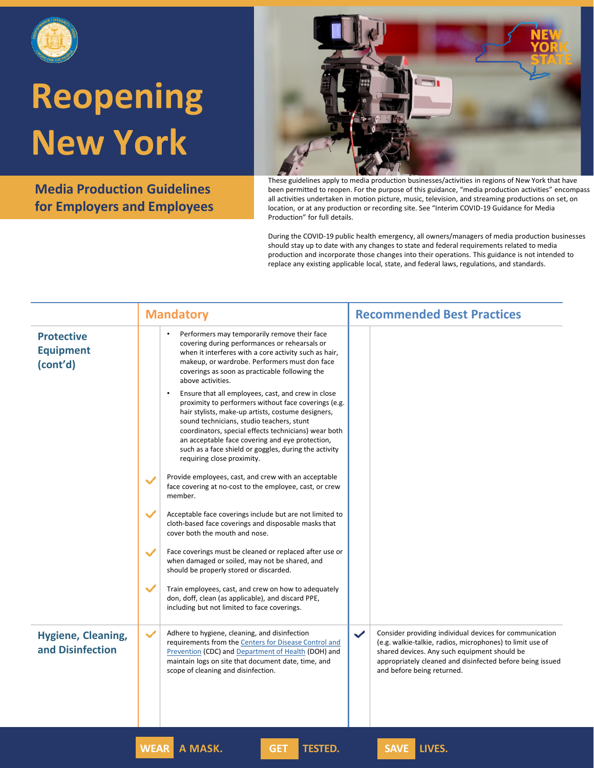

**Media Production Guidelines for Employers and Employees**



These guidelines apply to media production businesses/activities in regions of New York that have been permitted to reopen. For the purpose of this guidance, "media production activities" encompass all activities undertaken in motion picture, music, television, and streaming productions on set, on location, or at any production or recording site. See "Interim COVID-19 Guidance for Media Production" for full details.

|                                                   | <b>Mandatory</b>                                                                                                                                                                                                                                                                                                                                                                                                             | <b>Recommended Best Practices</b>                                                                                                                                                                                                                                               |
|---------------------------------------------------|------------------------------------------------------------------------------------------------------------------------------------------------------------------------------------------------------------------------------------------------------------------------------------------------------------------------------------------------------------------------------------------------------------------------------|---------------------------------------------------------------------------------------------------------------------------------------------------------------------------------------------------------------------------------------------------------------------------------|
| <b>Protective</b><br><b>Equipment</b><br>(cont'd) | Performers may temporarily remove their face<br>covering during performances or rehearsals or<br>when it interferes with a core activity such as hair,<br>makeup, or wardrobe. Performers must don face<br>coverings as soon as practicable following the<br>above activities.                                                                                                                                               |                                                                                                                                                                                                                                                                                 |
|                                                   | Ensure that all employees, cast, and crew in close<br>$\bullet$<br>proximity to performers without face coverings (e.g.<br>hair stylists, make-up artists, costume designers,<br>sound technicians, studio teachers, stunt<br>coordinators, special effects technicians) wear both<br>an acceptable face covering and eye protection,<br>such as a face shield or goggles, during the activity<br>requiring close proximity. |                                                                                                                                                                                                                                                                                 |
|                                                   | Provide employees, cast, and crew with an acceptable<br>$\checkmark$<br>face covering at no-cost to the employee, cast, or crew<br>member.                                                                                                                                                                                                                                                                                   |                                                                                                                                                                                                                                                                                 |
|                                                   | $\checkmark$<br>Acceptable face coverings include but are not limited to<br>cloth-based face coverings and disposable masks that<br>cover both the mouth and nose.                                                                                                                                                                                                                                                           |                                                                                                                                                                                                                                                                                 |
|                                                   | Face coverings must be cleaned or replaced after use or<br>$\checkmark$<br>when damaged or soiled, may not be shared, and<br>should be properly stored or discarded.                                                                                                                                                                                                                                                         |                                                                                                                                                                                                                                                                                 |
|                                                   | ✓<br>Train employees, cast, and crew on how to adequately<br>don, doff, clean (as applicable), and discard PPE,<br>including but not limited to face coverings.                                                                                                                                                                                                                                                              |                                                                                                                                                                                                                                                                                 |
| Hygiene, Cleaning,<br>and Disinfection            | Adhere to hygiene, cleaning, and disinfection<br>$\checkmark$<br>requirements from the Centers for Disease Control and<br><b>Prevention (CDC) and Department of Health (DOH) and</b><br>maintain logs on site that document date, time, and<br>scope of cleaning and disinfection.                                                                                                                                           | Consider providing individual devices for communication<br>$\checkmark$<br>(e.g. walkie-talkie, radios, microphones) to limit use of<br>shared devices. Any such equipment should be<br>appropriately cleaned and disinfected before being issued<br>and before being returned. |
|                                                   | <b>WEAR</b><br><b>TESTED.</b><br>A MASK.<br><b>GET</b>                                                                                                                                                                                                                                                                                                                                                                       | LIVES.<br>SAVE                                                                                                                                                                                                                                                                  |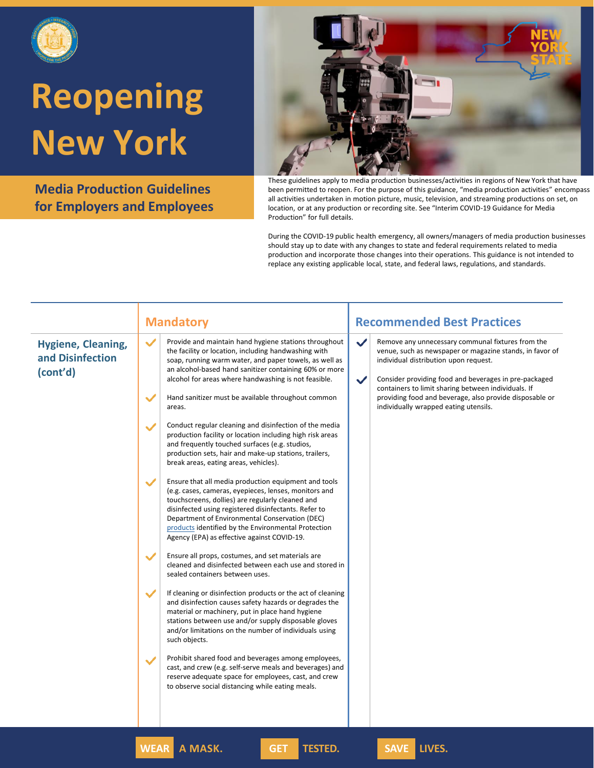

**Media Production Guidelines for Employers and Employees**



These guidelines apply to media production businesses/activities in regions of New York that have been permitted to reopen. For the purpose of this guidance, "media production activities" encompass all activities undertaken in motion picture, music, television, and streaming productions on set, on location, or at any production or recording site. See "Interim COVID-19 Guidance for Media Production" for full details.

|                                                           | <b>Mandatory</b>                                                                                                                                                                                                                                                                                                                                                                                                                                                                                                                                                                                                                                                                                                                                                                                                                                                                                                                                                                                                                                                                                                                                                                                                                                                                                                                                                                                                                                                                                                                                                                                                                                                                                                                                                                                                                          | <b>Recommended Best Practices</b>                                                                                                                                                                                                                                                                                                                                                                          |
|-----------------------------------------------------------|-------------------------------------------------------------------------------------------------------------------------------------------------------------------------------------------------------------------------------------------------------------------------------------------------------------------------------------------------------------------------------------------------------------------------------------------------------------------------------------------------------------------------------------------------------------------------------------------------------------------------------------------------------------------------------------------------------------------------------------------------------------------------------------------------------------------------------------------------------------------------------------------------------------------------------------------------------------------------------------------------------------------------------------------------------------------------------------------------------------------------------------------------------------------------------------------------------------------------------------------------------------------------------------------------------------------------------------------------------------------------------------------------------------------------------------------------------------------------------------------------------------------------------------------------------------------------------------------------------------------------------------------------------------------------------------------------------------------------------------------------------------------------------------------------------------------------------------------|------------------------------------------------------------------------------------------------------------------------------------------------------------------------------------------------------------------------------------------------------------------------------------------------------------------------------------------------------------------------------------------------------------|
| <b>Hygiene, Cleaning,</b><br>and Disinfection<br>(cont'd) | Provide and maintain hand hygiene stations throughout<br>$\checkmark$<br>the facility or location, including handwashing with<br>soap, running warm water, and paper towels, as well as<br>an alcohol-based hand sanitizer containing 60% or more<br>alcohol for areas where handwashing is not feasible.<br>$\checkmark$<br>Hand sanitizer must be available throughout common<br>areas.<br>Conduct regular cleaning and disinfection of the media<br>$\checkmark$<br>production facility or location including high risk areas<br>and frequently touched surfaces (e.g. studios,<br>production sets, hair and make-up stations, trailers,<br>break areas, eating areas, vehicles).<br>Ensure that all media production equipment and tools<br>$\checkmark$<br>(e.g. cases, cameras, eyepieces, lenses, monitors and<br>touchscreens, dollies) are regularly cleaned and<br>disinfected using registered disinfectants. Refer to<br>Department of Environmental Conservation (DEC)<br>products identified by the Environmental Protection<br>Agency (EPA) as effective against COVID-19.<br>Ensure all props, costumes, and set materials are<br>$\checkmark$<br>cleaned and disinfected between each use and stored in<br>sealed containers between uses.<br>$\checkmark$<br>If cleaning or disinfection products or the act of cleaning<br>and disinfection causes safety hazards or degrades the<br>material or machinery, put in place hand hygiene<br>stations between use and/or supply disposable gloves<br>and/or limitations on the number of individuals using<br>such objects.<br>Prohibit shared food and beverages among employees,<br>$\checkmark$<br>cast, and crew (e.g. self-serve meals and beverages) and<br>reserve adequate space for employees, cast, and crew<br>to observe social distancing while eating meals. | Remove any unnecessary communal fixtures from the<br>$\checkmark$<br>venue, such as newspaper or magazine stands, in favor of<br>individual distribution upon request.<br>Consider providing food and beverages in pre-packaged<br>$\checkmark$<br>containers to limit sharing between individuals. If<br>providing food and beverage, also provide disposable or<br>individually wrapped eating utensils. |
|                                                           | <b>WEAR A MASK.</b><br><b>TESTED.</b><br><b>GET</b>                                                                                                                                                                                                                                                                                                                                                                                                                                                                                                                                                                                                                                                                                                                                                                                                                                                                                                                                                                                                                                                                                                                                                                                                                                                                                                                                                                                                                                                                                                                                                                                                                                                                                                                                                                                       | SAVE LIVES.                                                                                                                                                                                                                                                                                                                                                                                                |